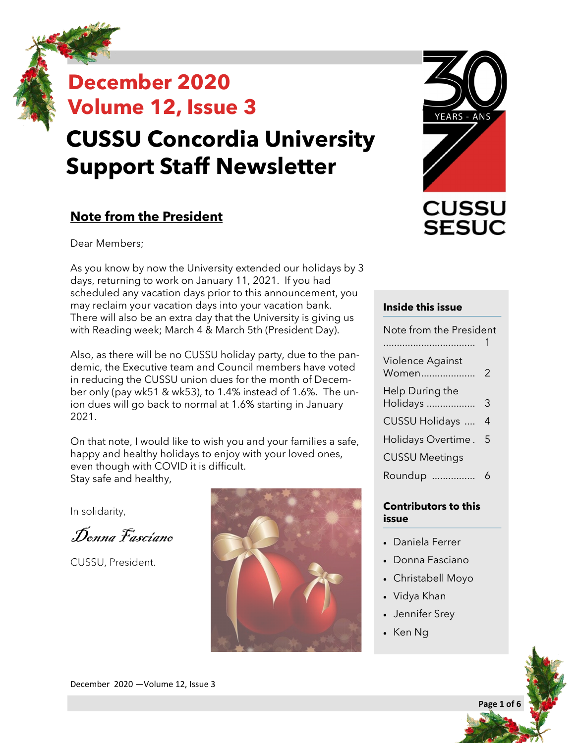## **December 2020 Volume 12, Issue 3 CUSSU Concordia University Support Staff Newsletter**

### **Note from the President**

Dear Members;

As you know by now the University extended our holidays by 3 days, returning to work on January 11, 2021. If you had scheduled any vacation days prior to this announcement, you may reclaim your vacation days into your vacation bank. There will also be an extra day that the University is giving us with Reading week; March 4 & March 5th (President Day).

Also, as there will be no CUSSU holiday party, due to the pandemic, the Executive team and Council members have voted in reducing the CUSSU union dues for the month of December only (pay wk51 & wk53), to 1.4% instead of 1.6%. The union dues will go back to normal at 1.6% starting in January 2021.

On that note, I would like to wish you and your families a safe, happy and healthy holidays to enjoy with your loved ones, even though with COVID it is difficult. Stay safe and healthy,

In solidarity,

Donna Fasciano

CUSSU, President.





#### **Inside this issue**

| Note from the President     |   |
|-----------------------------|---|
|                             |   |
| Violence Against<br>Women   | 2 |
| Help During the<br>Holidays | 3 |
| <b>CUSSU Holidays </b>      | 4 |
| Holidays Overtime .         | 5 |
| <b>CUSSU Meetings</b>       |   |
| Roundup                     | հ |
|                             |   |

#### **Contributors to this issue**

- Daniela Ferrer
- Donna Fasciano
- Christabell Moyo
- Vidya Khan
- Jennifer Srey
- Ken Ng



**Page 1 of 6**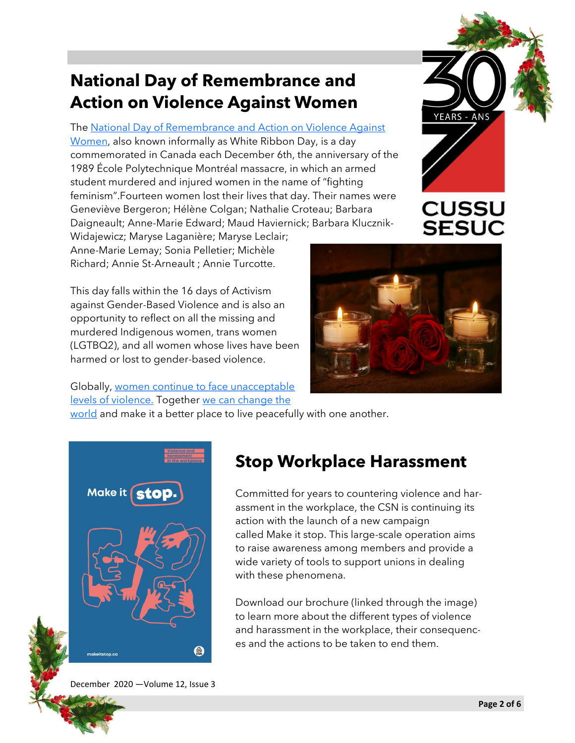## **National Day of Remembrance and Action on Violence Against Women**

The [National Day of Remembrance and Action on Violence Against](https://www.un.org/en/observances/ending-violence-against-women-day)  [Women,](https://www.un.org/en/observances/ending-violence-against-women-day) also known informally as White Ribbon Day, is a day commemorated in Canada each December 6th, the anniversary of the 1989 École Polytechnique Montréal massacre, in which an armed student murdered and injured women in the name of "fighting feminism".Fourteen women lost their lives that day. Their names were Geneviève Bergeron; Hélène Colgan; Nathalie Croteau; Barbara Daigneault; Anne-Marie Edward; Maud Haviernick; Barbara Klucznik-

Widajewicz; Maryse Laganière; Maryse Leclair; Anne-Marie Lemay; Sonia Pelletier; Michèle Richard; Annie St-Arneault ; Annie Turcotte.

This day falls within the 16 days of Activism against Gender-Based Violence and is also an opportunity to reflect on all the missing and murdered Indigenous women, trans women (LGTBQ2), and all women whose lives have been harmed or lost to gender-based violence.

Globally, [women continue to face unacceptable](https://globalnews.ca/news/7483057/women-facing-more-violence-coronavirus-pandemic/) 

[levels of violence.](https://globalnews.ca/news/7483057/women-facing-more-violence-coronavirus-pandemic/) Together [we can change the](https://www.unwomen.org/en/news/stories/2020/11/compilation-take-action-to-help-end-violence-against-women) 

[world](https://www.unwomen.org/en/news/stories/2020/11/compilation-take-action-to-help-end-violence-against-women) and make it a better place to live peacefully with one another.

## **Stop Workplace Harassment**

Committed for years to countering violence and harassment in the workplace, the CSN is continuing its action with the launch of a new campaign called Make it stop. This large-scale operation aims to raise awareness among members and provide a wide variety of tools to support unions in dealing with these phenomena.

Download our brochure (linked through the image) to learn more about the different types of violence and harassment in the workplace, their consequences and the actions to be taken to end them.

December 2020 —Volume 12, Issue 3





**CUSSU** 

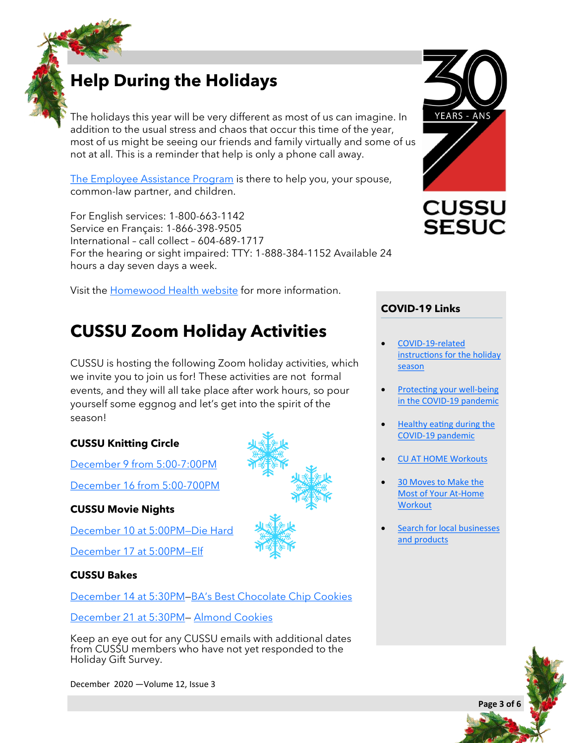## **Help During the Holidays**

The holidays this year will be very different as most of us can imagine. In addition to the usual stress and chaos that occur this time of the year, most of us might be seeing our friends and family virtually and some of us not at all. This is a reminder that help is only a phone call away.

[The Employee Assistance Program](https://www.concordia.ca/hr/benefits/eap.html) is there to help you, your spouse, common-law partner, and children.

For English services: 1-800-663-1142 Service en Français: 1-866-398-9505 International – call collect – 604-689-1717 For the hearing or sight impaired: TTY: 1-888-384-1152 Available 24 hours a day seven days a week.

Visit the [Homewood Health website](https://homeweb.ca/) for more information.

## **CUSSU Zoom Holiday Activities**

CUSSU is hosting the following Zoom holiday activities, which we invite you to join us for! These activities are not formal events, and they will all take place after work hours, so pour yourself some eggnog and let's get into the spirit of the season!

#### **CUSSU Knitting Circle**

[December 9 from 5:00](https://concordia-ca.zoom.us/j/86528163465)-7:00PM [December 16 from 5:00](https://concordia-ca.zoom.us/j/88006017158)-700PM

#### **CUSSU Movie Nights**

[December 10 at 5:00PM—Die Hard](https://concordia-ca.zoom.us/j/86385441807)

[December 17 at 5:00PM—Elf](https://concordia-ca.zoom.us/j/86385441807)

#### **CUSSU Bakes**

[December 14 at 5:30PM—B](https://concordia-ca.zoom.us/j/5536386234)A'[s Best Chocolate Chip Cookies](https://www.bonappetit.com/recipe/bas-best-chocolate-chip-cookies)

[December 21 at 5:30PM—](https://concordia-ca.zoom.us/j/5536386234) [Almond Cookies](https://lilluna.com/almond-cookies/)

Keep an eye out for any CUSSU emails with additional dates from CUSSU members who have not yet responded to the Holiday Gift Survey.

December 2020 —Volume 12, Issue 3







#### **COVID-19 Links**

- COVID-19-[related](https://www.quebec.ca/en/health/health-issues/a-z/2019-coronavirus/covid-19-related-instructions-holiday-season/)  [instructions for the holiday](https://www.quebec.ca/en/health/health-issues/a-z/2019-coronavirus/covid-19-related-instructions-holiday-season/)  [season](https://www.quebec.ca/en/health/health-issues/a-z/2019-coronavirus/covid-19-related-instructions-holiday-season/)
- [Protecting your well](https://www.quebec.ca/en/health/health-issues/a-z/2019-coronavirus/protecting-your-well-being-in-the-covid-19-pandemic/)-being in the COVID-[19 pandemic](https://www.quebec.ca/en/health/health-issues/a-z/2019-coronavirus/protecting-your-well-being-in-the-covid-19-pandemic/)
- [Healthy eating during the](https://www.canada.ca/en/health-canada/services/food-nutrition/healthy-eating/covid-19.html)  COVID-[19 pandemic](https://www.canada.ca/en/health-canada/services/food-nutrition/healthy-eating/covid-19.html)
- [CU AT HOME Workouts](https://www.concordia.ca/campus-life/recreation/fitness/at-home-workouts.html)
- [30 Moves to Make the](https://www.healthline.com/health/fitness-exercise/at-home-workouts)  [Most of Your At](https://www.healthline.com/health/fitness-exercise/at-home-workouts)-Home **[Workout](https://www.healthline.com/health/fitness-exercise/at-home-workouts)**
- Search for local businesses [and products](https://www.lepanierbleu.ca/)

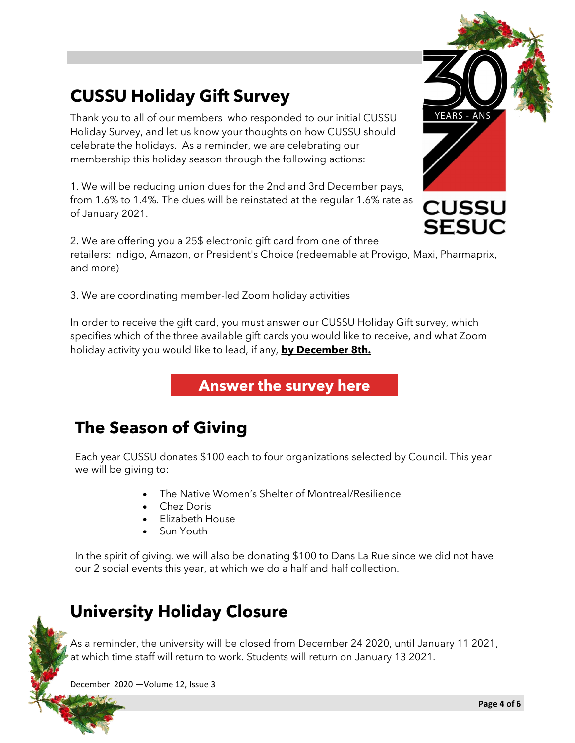## **CUSSU Holiday Gift Survey**

Thank you to all of our members who responded to our initial CUSSU Holiday Survey, and let us know your thoughts on how CUSSU should celebrate the holidays. As a reminder, we are celebrating our membership this holiday season through the following actions:

1. We will be reducing union dues for the 2nd and 3rd December pays, from 1.6% to 1.4%. The dues will be reinstated at the regular 1.6% rate as of January 2021.

2. We are offering you a 25\$ electronic gift card from one of three retailers: Indigo, Amazon, or President's Choice (redeemable at Provigo, Maxi, Pharmaprix, and more)

3. We are coordinating member-led Zoom holiday activities

In order to receive the gift card, you must answer our CUSSU Holiday Gift survey, which specifies which of the three available gift cards you would like to receive, and what Zoom holiday activity you would like to lead, if any, **by December 8th.**

**[Answer the survey here](https://forms.gle/GdVMfYGYqNyCPLgw7)**

## **The Season of Giving**

Each year CUSSU donates \$100 each to four organizations selected by Council. This year we will be giving to:

- The Native Women's Shelter of Montreal/Resilience
- Chez Doris
- Elizabeth House
- Sun Youth

In the spirit of giving, we will also be donating \$100 to Dans La Rue since we did not have our 2 social events this year, at which we do a half and half collection.

## **University Holiday Closure**

As a reminder, the university will be closed from December 24 2020, until January 11 2021, at which time staff will return to work. Students will return on January 13 2021.

December 2020 —Volume 12, Issue 3



**SESUC**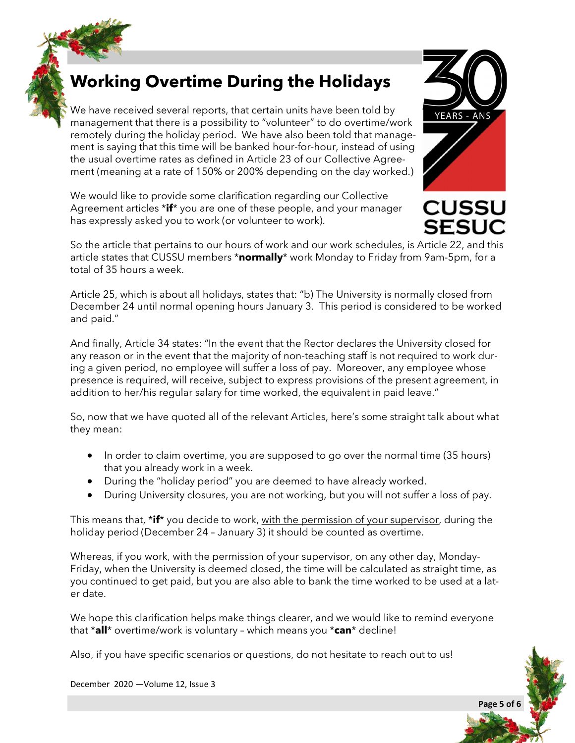## **Working Overtime During the Holidays**

We have received several reports, that certain units have been told by management that there is a possibility to "volunteer" to do overtime/work remotely during the holiday period. We have also been told that management is saying that this time will be banked hour-for-hour, instead of using the usual overtime rates as defined in Article 23 of our Collective Agreement (meaning at a rate of 150% or 200% depending on the day worked.)

We would like to provide some clarification regarding our Collective Agreement articles \***if**\* you are one of these people, and your manager has expressly asked you to work (or volunteer to work).



**CUSSU SESUC** 

So the article that pertains to our hours of work and our work schedules, is Article 22, and this article states that CUSSU members \***normally**\* work Monday to Friday from 9am-5pm, for a total of 35 hours a week.

Article 25, which is about all holidays, states that: "b) The University is normally closed from December 24 until normal opening hours January 3. This period is considered to be worked and paid."

And finally, Article 34 states: "In the event that the Rector declares the University closed for any reason or in the event that the majority of non-teaching staff is not required to work during a given period, no employee will suffer a loss of pay. Moreover, any employee whose presence is required, will receive, subject to express provisions of the present agreement, in addition to her/his regular salary for time worked, the equivalent in paid leave."

So, now that we have quoted all of the relevant Articles, here's some straight talk about what they mean:

- In order to claim overtime, you are supposed to go over the normal time (35 hours) that you already work in a week.
- During the "holiday period" you are deemed to have already worked.
- During University closures, you are not working, but you will not suffer a loss of pay.

This means that, \***if**\* you decide to work, with the permission of your supervisor, during the holiday period (December 24 – January 3) it should be counted as overtime.

Whereas, if you work, with the permission of your supervisor, on any other day, Monday-Friday, when the University is deemed closed, the time will be calculated as straight time, as you continued to get paid, but you are also able to bank the time worked to be used at a later date.

We hope this clarification helps make things clearer, and we would like to remind everyone that \***all**\* overtime/work is voluntary – which means you \***can**\* decline!

Also, if you have specific scenarios or questions, do not hesitate to reach out to us!

December 2020 —Volume 12, Issue 3

# **Page 5 of 6**